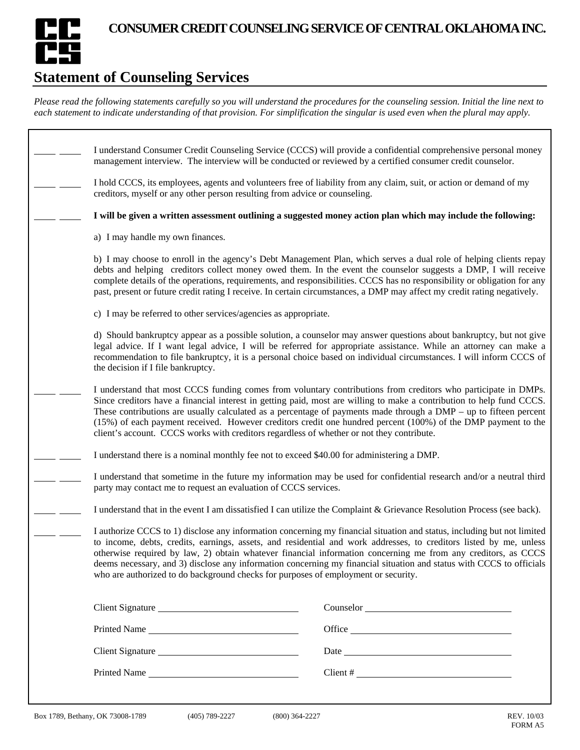

## **Statement of Counseling Services**

*Please read the following statements carefully so you will understand the procedures for the counseling session. Initial the line next to each statement to indicate understanding of that provision. For simplification the singular is used even when the plural may apply.* 

| I understand Consumer Credit Counseling Service (CCCS) will provide a confidential comprehensive personal money<br>management interview. The interview will be conducted or reviewed by a certified consumer credit counselor.                                                                                                                                                                                                                                                                                                                                               |               |
|------------------------------------------------------------------------------------------------------------------------------------------------------------------------------------------------------------------------------------------------------------------------------------------------------------------------------------------------------------------------------------------------------------------------------------------------------------------------------------------------------------------------------------------------------------------------------|---------------|
| I hold CCCS, its employees, agents and volunteers free of liability from any claim, suit, or action or demand of my<br>creditors, myself or any other person resulting from advice or counseling.                                                                                                                                                                                                                                                                                                                                                                            |               |
| I will be given a written assessment outlining a suggested money action plan which may include the following:                                                                                                                                                                                                                                                                                                                                                                                                                                                                |               |
| a) I may handle my own finances.                                                                                                                                                                                                                                                                                                                                                                                                                                                                                                                                             |               |
| b) I may choose to enroll in the agency's Debt Management Plan, which serves a dual role of helping clients repay<br>debts and helping creditors collect money owed them. In the event the counselor suggests a DMP, I will receive<br>complete details of the operations, requirements, and responsibilities. CCCS has no responsibility or obligation for any<br>past, present or future credit rating I receive. In certain circumstances, a DMP may affect my credit rating negatively.                                                                                  |               |
| c) I may be referred to other services/agencies as appropriate.                                                                                                                                                                                                                                                                                                                                                                                                                                                                                                              |               |
| d) Should bankruptcy appear as a possible solution, a counselor may answer questions about bankruptcy, but not give<br>legal advice. If I want legal advice, I will be referred for appropriate assistance. While an attorney can make a<br>recommendation to file bankruptcy, it is a personal choice based on individual circumstances. I will inform CCCS of<br>the decision if I file bankruptcy.                                                                                                                                                                        |               |
| I understand that most CCCS funding comes from voluntary contributions from creditors who participate in DMPs.<br>Since creditors have a financial interest in getting paid, most are willing to make a contribution to help fund CCCS.<br>These contributions are usually calculated as a percentage of payments made through a $DMP - up$ to fifteen percent<br>(15%) of each payment received. However creditors credit one hundred percent (100%) of the DMP payment to the<br>client's account. CCCS works with creditors regardless of whether or not they contribute. |               |
| I understand there is a nominal monthly fee not to exceed \$40.00 for administering a DMP.                                                                                                                                                                                                                                                                                                                                                                                                                                                                                   |               |
| I understand that sometime in the future my information may be used for confidential research and/or a neutral third<br>party may contact me to request an evaluation of CCCS services.                                                                                                                                                                                                                                                                                                                                                                                      |               |
| I understand that in the event I am dissatisfied I can utilize the Complaint & Grievance Resolution Process (see back).                                                                                                                                                                                                                                                                                                                                                                                                                                                      |               |
| I authorize CCCS to 1) disclose any information concerning my financial situation and status, including but not limited<br>to income, debts, credits, earnings, assets, and residential and work addresses, to creditors listed by me, unless<br>otherwise required by law, 2) obtain whatever financial information concerning me from any creditors, as CCCS<br>deems necessary, and 3) disclose any information concerning my financial situation and status with CCCS to officials<br>who are authorized to do background checks for purposes of employment or security. |               |
| Client Signature                                                                                                                                                                                                                                                                                                                                                                                                                                                                                                                                                             |               |
| Printed Name                                                                                                                                                                                                                                                                                                                                                                                                                                                                                                                                                                 | Office        |
| Client Signature                                                                                                                                                                                                                                                                                                                                                                                                                                                                                                                                                             |               |
| Printed Name                                                                                                                                                                                                                                                                                                                                                                                                                                                                                                                                                                 | $Client # \_$ |
|                                                                                                                                                                                                                                                                                                                                                                                                                                                                                                                                                                              |               |